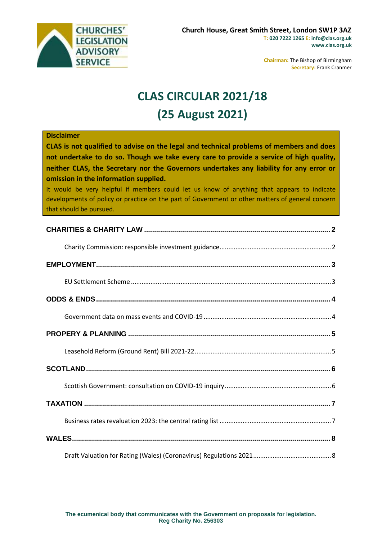

**Chairman:** The Bishop of Birmingham **Secretary:** Frank Cranmer

# **CLAS CIRCULAR 2021/18 (25 August 2021)**

#### **Disclaimer**

**CLAS is not qualified to advise on the legal and technical problems of members and does not undertake to do so. Though we take every care to provide a service of high quality, neither CLAS, the Secretary nor the Governors undertakes any liability for any error or omission in the information supplied.**

It would be very helpful if members could let us know of anything that appears to indicate developments of policy or practice on the part of Government or other matters of general concern that should be pursued.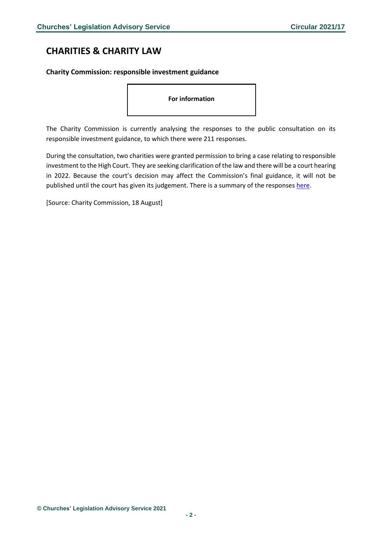## <span id="page-1-0"></span>**CHARITIES & CHARITY LAW**

### <span id="page-1-1"></span>**Charity Commission: responsible investment guidance**

**For information**

The Charity Commission is currently analysing the responses to the public consultation on its responsible investment guidance, to which there were 211 responses.

During the consultation, two charities were granted permission to bring a case relating to responsible investment to the High Court. They are seeking clarification of the law and there will be a court hearing in 2022. Because the court's decision may affect the Commission's final guidance, it will not be published until the court has given its judgement. There is a summary of the responses [here.](https://www.gov.uk/government/consultations/charity-responsible-investment-guidance/public-feedback/summary-of-consultation-responses)

[Source: Charity Commission, 18 August]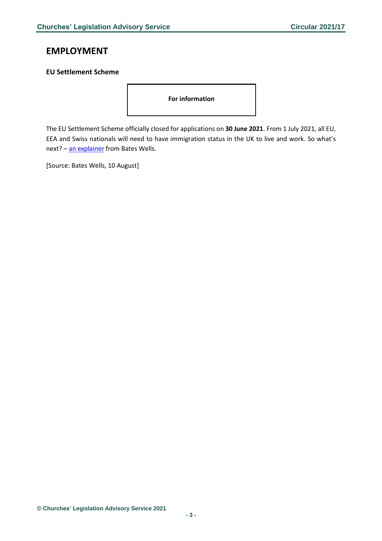### <span id="page-2-0"></span>**EMPLOYMENT**

### <span id="page-2-1"></span>**EU Settlement Scheme**

**For information**

The EU Settlement Scheme officially closed for applications on **30 June 2021**. From 1 July 2021, all EU, EEA and Swiss nationals will need to have immigration status in the UK to live and work. So what's next? - [an explainer](https://bateswells.co.uk/2021/08/eu-settlement-scheme-what-to-do-if-youve-missed-the-deadline/#employers) from Bates Wells.

[Source: Bates Wells, 10 August]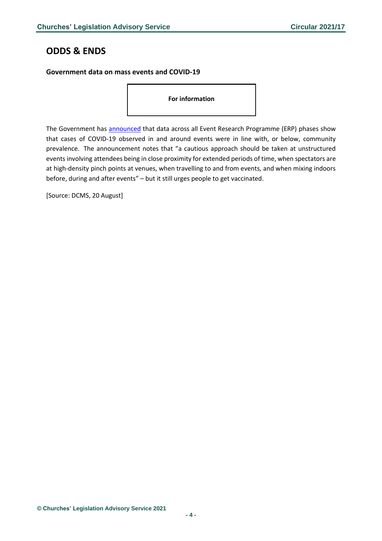### <span id="page-3-0"></span>**ODDS & ENDS**

#### <span id="page-3-1"></span>**Government data on mass events and COVID-19**

**For information**

The Government has **announced** that data across all Event Research Programme (ERP) phases show that cases of COVID-19 observed in and around events were in line with, or below, community prevalence. The announcement notes that "a cautious approach should be taken at unstructured events involving attendees being in close proximity for extended periods of time, when spectators are at high-density pinch points at venues, when travelling to and from events, and when mixing indoors before, during and after events" – but it still urges people to get vaccinated.

[Source: DCMS, 20 August]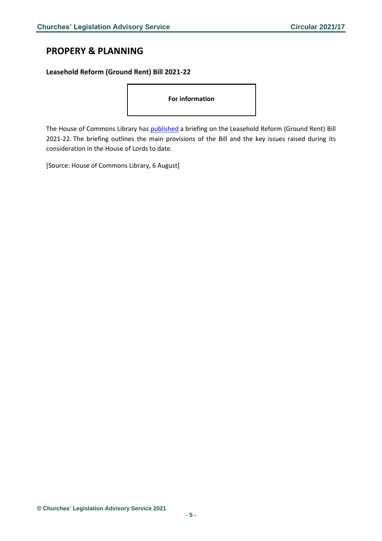### <span id="page-4-0"></span>**PROPERY & PLANNING**

### <span id="page-4-1"></span>**Leasehold Reform (Ground Rent) Bill 2021-22**

**For information**

The House of Commons Library has [published](https://commonslibrary.parliament.uk/research-briefings/cbp-9236/?utm_source=HOC+Library+-+Research+alerts&utm_campaign=512d8b5ada-EMAIL_CAMPAIGN_2021_08_07_08_00&utm_medium=email&utm_term=0_a9da1c9b17-512d8b5ada-103579521&mc_cid=512d8b5ada&mc_eid=4f1a0992e5) a briefing on the Leasehold Reform (Ground Rent) Bill 2021-22. The briefing outlines the main provisions of the Bill and the key issues raised during its consideration in the House of Lords to date.

[Source: House of Commons Library, 6 August]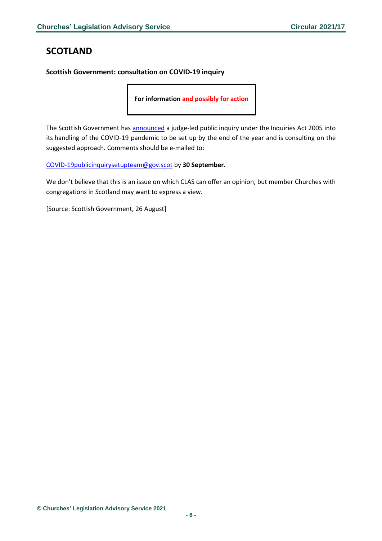## <span id="page-5-0"></span>**SCOTLAND**

#### <span id="page-5-1"></span>**Scottish Government: consultation on COVID-19 inquiry**

**For information and possibly for action**

The Scottish Government has [announced](https://www.gov.scot/publications/covid-19-inquiry/) a judge-led public inquiry under the Inquiries Act 2005 into its handling of the COVID-19 pandemic to be set up by the end of the year and is consulting on the suggested approach. Comments should be e-mailed to:

[COVID-19publicinquirysetupteam@gov.scot](mailto:COVID-19publicinquirysetupteam@gov.scot) by **30 September**.

We don't believe that this is an issue on which CLAS can offer an opinion, but member Churches with congregations in Scotland may want to express a view.

[Source: Scottish Government, 26 August]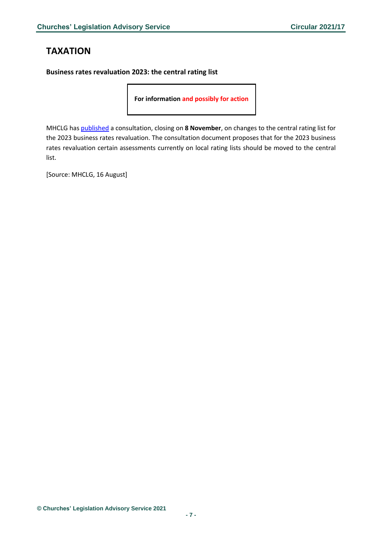### <span id="page-6-0"></span>**TAXATION**

<span id="page-6-1"></span>**Business rates revaluation 2023: the central rating list**

**For information and possibly for action**

MHCLG has [published](https://www.gov.uk/government/consultations/business-rates-revaluation-2023-the-central-rating-list?utm_medium=email&utm_campaign=govuk-notifications&utm_source=f215effb-ad77-4fb1-bfad-0e22d9014787&utm_content=daily) a consultation, closing on **8 November**, on changes to the central rating list for the 2023 business rates revaluation. The consultation document proposes that for the 2023 business rates revaluation certain assessments currently on local rating lists should be moved to the central list.

[Source: MHCLG, 16 August]